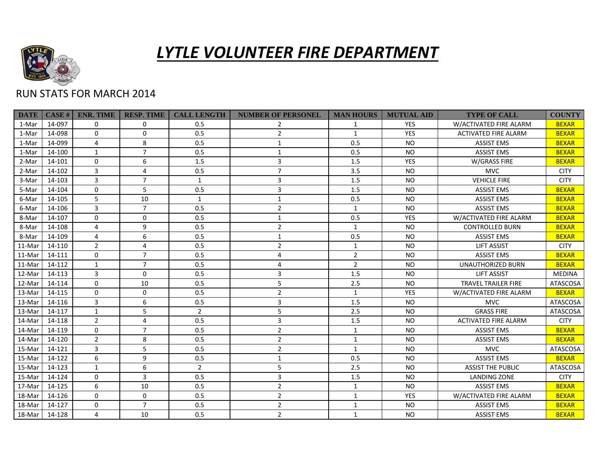

## *LYTLE VOLUNTEER FIRE DEPARTMENT*

## RUN STATS FOR MARCH 2014

| <b>DATE</b> | CASE#  | <b>ENR. TIME</b> | <b>RESP. TIME</b> | <b>CALL LENGTH</b> | <b>NUMBER OF PERSONEL</b> | <b>MAN HOURS</b> | <b>MUTUAL AID</b> | <b>TYPE OF CALL</b>         | <b>COUNTY</b>   |
|-------------|--------|------------------|-------------------|--------------------|---------------------------|------------------|-------------------|-----------------------------|-----------------|
| 1-Mar       | 14-097 | $\Omega$         | $\mathbf 0$       | 0.5                | $\overline{2}$            | $\mathbf{1}$     | <b>YES</b>        | W/ACTIVATED FIRE ALARM      | <b>BEXAR</b>    |
| 1-Mar       | 14-098 | $\Omega$         | $\mathbf 0$       | 0.5                | $\overline{2}$            | $\mathbf{1}$     | <b>YES</b>        | <b>ACTIVATED FIRE ALARM</b> | <b>BEXAR</b>    |
| 1-Mar       | 14-099 | 4                | 8                 | 0.5                | $\mathbf{1}$              | 0.5              | <b>NO</b>         | <b>ASSIST EMS</b>           | <b>BEXAR</b>    |
| 1-Mar       | 14-100 | 1                | $\overline{7}$    | 0.5                | 1                         | 0.5              | NO.               | <b>ASSIST EMS</b>           | <b>BEXAR</b>    |
| 2-Mar       | 14-101 | $\Omega$         | 6                 | 1.5                | 3                         | 1.5              | <b>YES</b>        | W/GRASS FIRE                | <b>BEXAR</b>    |
| 2-Mar       | 14-102 | 3                | $\overline{4}$    | 0.5                | $\overline{7}$            | 3.5              | <b>NO</b>         | <b>MVC</b>                  | <b>CITY</b>     |
| 3-Mar       | 14-103 | 3                | $\overline{7}$    | $\mathbf{1}$       | 3                         | 1.5              | <b>NO</b>         | <b>VEHICLE FIRE</b>         | <b>CITY</b>     |
| 5-Mar       | 14-104 | $\Omega$         | 5                 | 0.5                | 3                         | 1.5              | <b>NO</b>         | <b>ASSIST EMS</b>           | <b>BEXAR</b>    |
| 6-Mar       | 14-105 | 5                | 10                | $\mathbf{1}$       | $\mathbf{1}$              | 0.5              | <b>NO</b>         | <b>ASSIST EMS</b>           | <b>BEXAR</b>    |
| 6-Mar       | 14-106 | 3                | $\overline{7}$    | 0.5                | $\overline{2}$            | $\mathbf{1}$     | <b>NO</b>         | <b>ASSIST EMS</b>           | <b>BEXAR</b>    |
| 8-Mar       | 14-107 | $\mathbf{0}$     | $\mathbf 0$       | 0.5                | $\mathbf{1}$              | 0.5              | <b>YES</b>        | W/ACTIVATED FIRE ALARM      | <b>BEXAR</b>    |
| 8-Mar       | 14-108 | $\overline{4}$   | 9                 | 0.5                | $\overline{2}$            | $\mathbf{1}$     | <b>NO</b>         | <b>CONTROLLED BURN</b>      | <b>BEXAR</b>    |
| 8-Mar       | 14-109 | $\overline{4}$   | 6                 | 0.5                | $\mathbf{1}$              | 0.5              | <b>NO</b>         | <b>ASSIST EMS</b>           | <b>BEXAR</b>    |
| 11-Mar      | 14-110 | $\overline{2}$   | 4                 | 0.5                | $\overline{2}$            | $\mathbf{1}$     | <b>NO</b>         | <b>LIFT ASSIST</b>          | <b>CITY</b>     |
| 11-Mar      | 14-111 | $\Omega$         | $\overline{7}$    | 0.5                | 4                         | $\overline{2}$   | <b>NO</b>         | <b>ASSIST EMS</b>           | <b>BEXAR</b>    |
| 11-Mar      | 14-112 | $\mathbf{1}$     | $\overline{7}$    | 0.5                | 4                         | $\overline{2}$   | <b>NO</b>         | UNAUTHORIZED BURN           | <b>BEXAR</b>    |
| 12-Mar      | 14-113 | 3                | $\mathbf 0$       | 0.5                | 3                         | 1.5              | <b>NO</b>         | <b>LIFT ASSIST</b>          | <b>MEDINA</b>   |
| 12-Mar      | 14-114 | $\Omega$         | 10                | 0.5                | 5                         | 2.5              | <b>NO</b>         | <b>TRAVEL TRAILER FIRE</b>  | ATASCOSA        |
| 13-Mar      | 14-115 | $\mathbf{0}$     | $\mathbf 0$       | 0.5                | $\overline{2}$            | $\mathbf{1}$     | YES               | W/ACTIVATED FIRE ALARM      | <b>BEXAR</b>    |
| 13-Mar      | 14-116 | 3                | 6                 | 0.5                | 3                         | 1.5              | <b>NO</b>         | <b>MVC</b>                  | ATASCOSA        |
| 13-Mar      | 14-117 | $\mathbf{1}$     | 5                 | $\overline{2}$     | 5                         | 2.5              | <b>NO</b>         | <b>GRASS FIRE</b>           | ATASCOSA        |
| 14-Mar      | 14-118 | $\overline{2}$   | $\overline{4}$    | 0.5                | 3                         | 1.5              | <b>NO</b>         | <b>ACTIVATED FIRE ALARM</b> | <b>CITY</b>     |
| 14-Mar      | 14-119 | $\mathbf{0}$     | $\overline{7}$    | 0.5                | $\overline{2}$            | $\mathbf{1}$     | <b>NO</b>         | <b>ASSIST EMS</b>           | <b>BEXAR</b>    |
| 14-Mar      | 14-120 | $\overline{2}$   | 8                 | 0.5                | $\overline{2}$            | $\mathbf{1}$     | <b>NO</b>         | <b>ASSIST EMS</b>           | <b>BEXAR</b>    |
| 15-Mar      | 14-121 | 3                | 5                 | 0.5                | $\overline{2}$            | $\mathbf{1}$     | <b>NO</b>         | <b>MVC</b>                  | <b>ATASCOSA</b> |
| 15-Mar      | 14-122 | 6                | 9                 | 0.5                | 1                         | 0.5              | <b>NO</b>         | <b>ASSIST EMS</b>           | <b>BEXAR</b>    |
| 15-Mar      | 14-123 | $\mathbf{1}$     | 6                 | $\overline{2}$     | 5                         | 2.5              | <b>NO</b>         | <b>ASSIST THE PUBLIC</b>    | <b>ATASCOSA</b> |
| 15-Mar      | 14-124 | $\Omega$         | $\overline{3}$    | 0.5                | 3                         | 1.5              | <b>NO</b>         | <b>LANDING ZONE</b>         | <b>CITY</b>     |
| 17-Mar      | 14-125 | 6                | 10                | 0.5                | $\overline{2}$            | $\mathbf{1}$     | <b>NO</b>         | <b>ASSIST EMS</b>           | <b>BEXAR</b>    |
| 18-Mar      | 14-126 | $\Omega$         | $\mathbf 0$       | 0.5                | $\overline{2}$            | $\mathbf{1}$     | <b>YES</b>        | W/ACTIVATED FIRE ALARM      | <b>BEXAR</b>    |
| 18-Mar      | 14-127 | $\mathbf{0}$     | $\overline{7}$    | 0.5                | $\overline{2}$            | $\mathbf{1}$     | <b>NO</b>         | <b>ASSIST EMS</b>           | <b>BEXAR</b>    |
| 18-Mar      | 14-128 | 4                | 10                | 0.5                | $\overline{2}$            | $\mathbf{1}$     | <b>NO</b>         | <b>ASSIST EMS</b>           | <b>BEXAR</b>    |